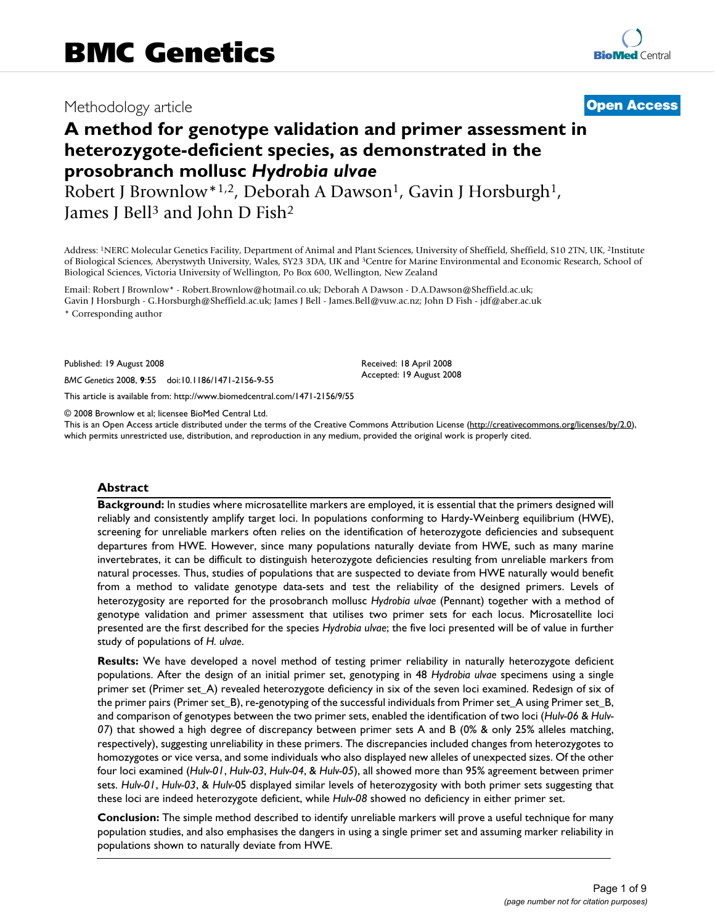# Methodology article **[Open Access](http://www.biomedcentral.com/info/about/charter/)**

# **A method for genotype validation and primer assessment in heterozygote-deficient species, as demonstrated in the prosobranch mollusc** *Hydrobia ulvae*

Robert J Brownlow<sup>\*1,2</sup>, Deborah A Dawson<sup>1</sup>, Gavin J Horsburgh<sup>1</sup>, James J Bell<sup>3</sup> and John D Fish<sup>2</sup>

Address: 1NERC Molecular Genetics Facility, Department of Animal and Plant Sciences, University of Sheffield, Sheffield, S10 2TN, UK, 2Institute of Biological Sciences, Aberystwyth University, Wales, SY23 3DA, UK and 3Centre for Marine Environmental and Economic Research, School of Biological Sciences, Victoria University of Wellington, Po Box 600, Wellington, New Zealand

Email: Robert J Brownlow\* - Robert.Brownlow@hotmail.co.uk; Deborah A Dawson - D.A.Dawson@Sheffield.ac.uk; Gavin J Horsburgh - G.Horsburgh@Sheffield.ac.uk; James J Bell - James.Bell@vuw.ac.nz; John D Fish - jdf@aber.ac.uk \* Corresponding author

Published: 19 August 2008

*BMC Genetics* 2008, **9**:55 doi:10.1186/1471-2156-9-55

[This article is available from: http://www.biomedcentral.com/1471-2156/9/55](http://www.biomedcentral.com/1471-2156/9/55)

© 2008 Brownlow et al; licensee BioMed Central Ltd.

This is an Open Access article distributed under the terms of the Creative Commons Attribution License [\(http://creativecommons.org/licenses/by/2.0\)](http://creativecommons.org/licenses/by/2.0), which permits unrestricted use, distribution, and reproduction in any medium, provided the original work is properly cited.

Received: 18 April 2008 Accepted: 19 August 2008

#### **Abstract**

**Background:** In studies where microsatellite markers are employed, it is essential that the primers designed will reliably and consistently amplify target loci. In populations conforming to Hardy-Weinberg equilibrium (HWE), screening for unreliable markers often relies on the identification of heterozygote deficiencies and subsequent departures from HWE. However, since many populations naturally deviate from HWE, such as many marine invertebrates, it can be difficult to distinguish heterozygote deficiencies resulting from unreliable markers from natural processes. Thus, studies of populations that are suspected to deviate from HWE naturally would benefit from a method to validate genotype data-sets and test the reliability of the designed primers. Levels of heterozygosity are reported for the prosobranch mollusc *Hydrobia ulvae* (Pennant) together with a method of genotype validation and primer assessment that utilises two primer sets for each locus. Microsatellite loci presented are the first described for the species *Hydrobia ulvae*; the five loci presented will be of value in further study of populations of *H. ulvae*.

**Results:** We have developed a novel method of testing primer reliability in naturally heterozygote deficient populations. After the design of an initial primer set, genotyping in 48 *Hydrobia ulvae* specimens using a single primer set (Primer set\_A) revealed heterozygote deficiency in six of the seven loci examined. Redesign of six of the primer pairs (Primer set\_B), re-genotyping of the successful individuals from Primer set\_A using Primer set\_B, and comparison of genotypes between the two primer sets, enabled the identification of two loci (*Hulv-06* & *Hulv-07*) that showed a high degree of discrepancy between primer sets A and B (0% & only 25% alleles matching, respectively), suggesting unreliability in these primers. The discrepancies included changes from heterozygotes to homozygotes or vice versa, and some individuals who also displayed new alleles of unexpected sizes. Of the other four loci examined (*Hulv-01*, *Hulv-03*, *Hulv-04*, & *Hulv-05*), all showed more than 95% agreement between primer sets. *Hulv-01*, *Hulv-03*, & *Hulv-*05 displayed similar levels of heterozygosity with both primer sets suggesting that these loci are indeed heterozygote deficient, while *Hulv-08* showed no deficiency in either primer set.

**Conclusion:** The simple method described to identify unreliable markers will prove a useful technique for many population studies, and also emphasises the dangers in using a single primer set and assuming marker reliability in populations shown to naturally deviate from HWE.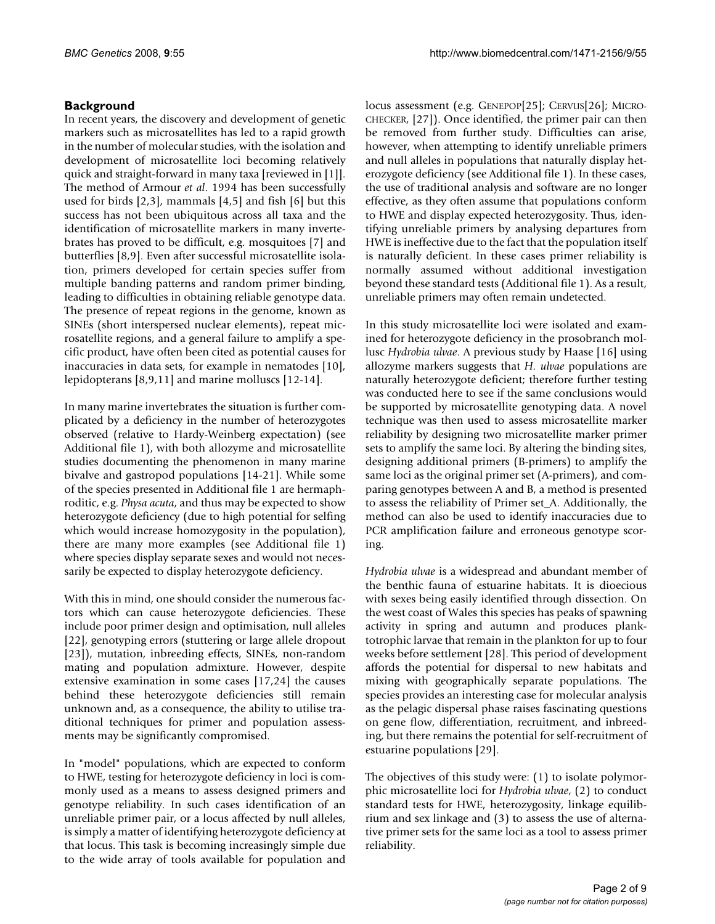## **Background**

In recent years, the discovery and development of genetic markers such as microsatellites has led to a rapid growth in the number of molecular studies, with the isolation and development of microsatellite loci becoming relatively quick and straight-forward in many taxa [reviewed in [1]]. The method of Armour *et al*. 1994 has been successfully used for birds [2,3], mammals [4,5] and fish [6] but this success has not been ubiquitous across all taxa and the identification of microsatellite markers in many invertebrates has proved to be difficult, e.g. mosquitoes [7] and butterflies [8,9]. Even after successful microsatellite isolation, primers developed for certain species suffer from multiple banding patterns and random primer binding, leading to difficulties in obtaining reliable genotype data. The presence of repeat regions in the genome, known as SINEs (short interspersed nuclear elements), repeat microsatellite regions, and a general failure to amplify a specific product, have often been cited as potential causes for inaccuracies in data sets, for example in nematodes [10], lepidopterans [8,9,11] and marine molluscs [12-[14\]](#page-7-0).

In many marine invertebrates the situation is further complicated by a deficiency in the number of heterozygotes observed (relative to Hardy-Weinberg expectation) (see Additional file 1), with both allozyme and microsatellite studies documenting the phenomenon in many marine bivalve and gastropod populations [\[14-](#page-7-0)21]. While some of the species presented in Additional file 1 are hermaphroditic, e.g. *Physa acuta*, and thus may be expected to show heterozygote deficiency (due to high potential for selfing which would increase homozygosity in the population), there are many more examples (see Additional file 1) where species display separate sexes and would not necessarily be expected to display heterozygote deficiency.

With this in mind, one should consider the numerous factors which can cause heterozygote deficiencies. These include poor primer design and optimisation, null alleles [22], genotyping errors (stuttering or large allele dropout [23]), mutation, inbreeding effects, SINEs, non-random mating and population admixture. However, despite extensive examination in some cases [17,24] the causes behind these heterozygote deficiencies still remain unknown and, as a consequence, the ability to utilise traditional techniques for primer and population assessments may be significantly compromised.

In "model" populations, which are expected to conform to HWE, testing for heterozygote deficiency in loci is commonly used as a means to assess designed primers and genotype reliability. In such cases identification of an unreliable primer pair, or a locus affected by null alleles, is simply a matter of identifying heterozygote deficiency at that locus. This task is becoming increasingly simple due to the wide array of tools available for population and

locus assessment (e.g. GENEPOP[25]; CERVUS[26]; MICRO-CHECKER, [27]). Once identified, the primer pair can then be removed from further study. Difficulties can arise, however, when attempting to identify unreliable primers and null alleles in populations that naturally display heterozygote deficiency (see Additional file 1). In these cases, the use of traditional analysis and software are no longer effective, as they often assume that populations conform to HWE and display expected heterozygosity. Thus, identifying unreliable primers by analysing departures from HWE is ineffective due to the fact that the population itself is naturally deficient. In these cases primer reliability is normally assumed without additional investigation beyond these standard tests (Additional file 1). As a result, unreliable primers may often remain undetected.

In this study microsatellite loci were isolated and examined for heterozygote deficiency in the prosobranch mollusc *Hydrobia ulvae*. A previous study by Haase [16] using allozyme markers suggests that *H. ulvae* populations are naturally heterozygote deficient; therefore further testing was conducted here to see if the same conclusions would be supported by microsatellite genotyping data. A novel technique was then used to assess microsatellite marker reliability by designing two microsatellite marker primer sets to amplify the same loci. By altering the binding sites, designing additional primers (B-primers) to amplify the same loci as the original primer set (A-primers), and comparing genotypes between A and B, a method is presented to assess the reliability of Primer set\_A. Additionally, the method can also be used to identify inaccuracies due to PCR amplification failure and erroneous genotype scoring.

*Hydrobia ulvae* is a widespread and abundant member of the benthic fauna of estuarine habitats. It is dioecious with sexes being easily identified through dissection. On the west coast of Wales this species has peaks of spawning activity in spring and autumn and produces planktotrophic larvae that remain in the plankton for up to four weeks before settlement [28]. This period of development affords the potential for dispersal to new habitats and mixing with geographically separate populations. The species provides an interesting case for molecular analysis as the pelagic dispersal phase raises fascinating questions on gene flow, differentiation, recruitment, and inbreeding, but there remains the potential for self-recruitment of estuarine populations [29].

The objectives of this study were: (1) to isolate polymorphic microsatellite loci for *Hydrobia ulvae*, (2) to conduct standard tests for HWE, heterozygosity, linkage equilibrium and sex linkage and (3) to assess the use of alternative primer sets for the same loci as a tool to assess primer reliability.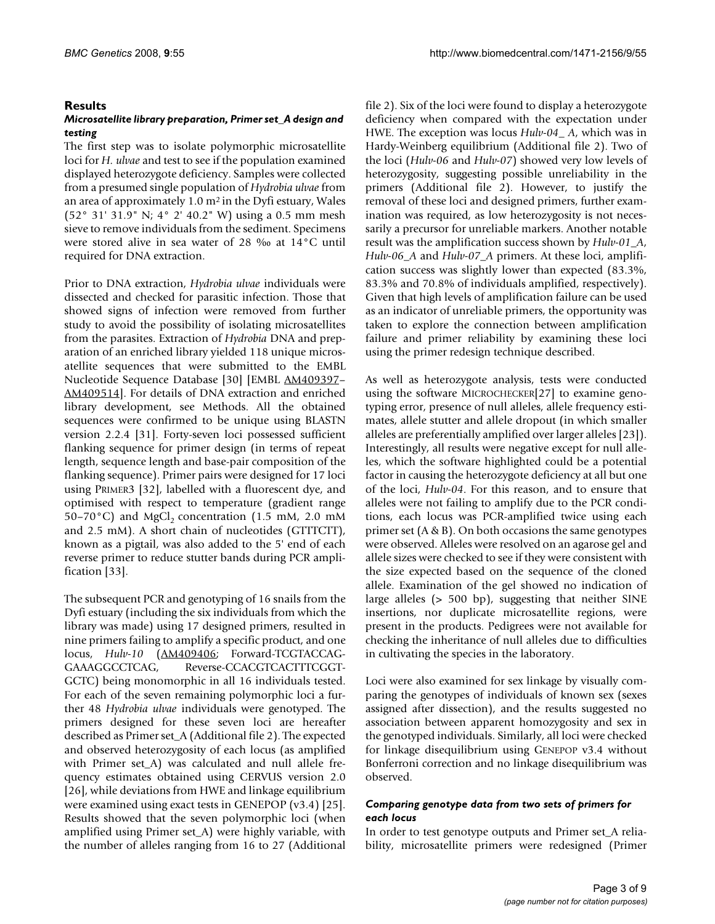#### **Results**

#### *Microsatellite library preparation, Primer set\_A design and testing*

The first step was to isolate polymorphic microsatellite loci for *H. ulvae* and test to see if the population examined displayed heterozygote deficiency. Samples were collected from a presumed single population of *Hydrobia ulvae* from an area of approximately 1.0 m2 in the Dyfi estuary, Wales (52° 31' 31.9" N; 4° 2' 40.2" W) using a 0.5 mm mesh sieve to remove individuals from the sediment. Specimens were stored alive in sea water of 28 ‰ at 14°C until required for DNA extraction.

Prior to DNA extraction, *Hydrobia ulvae* individuals were dissected and checked for parasitic infection. Those that showed signs of infection were removed from further study to avoid the possibility of isolating microsatellites from the parasites. Extraction of *Hydrobia* DNA and preparation of an enriched library yielded 118 unique microsatellite sequences that were submitted to the EMBL Nucleotide Sequence Database [30] [EMBL [AM409397–](http://www.ebi.ac.uk/cgi-bin/dbfetch?AM409397) [AM409514](http://www.ebi.ac.uk/cgi-bin/dbfetch?AM409514)]. For details of DNA extraction and enriched library development, see Methods. All the obtained sequences were confirmed to be unique using BLASTN version 2.2.4 [31]. Forty-seven loci possessed sufficient flanking sequence for primer design (in terms of repeat length, sequence length and base-pair composition of the flanking sequence). Primer pairs were designed for 17 loci using PRIMER3 [32], labelled with a fluorescent dye, and optimised with respect to temperature (gradient range 50–70 $^{\circ}$ C) and MgCl<sub>2</sub> concentration (1.5 mM, 2.0 mM and 2.5 mM). A short chain of nucleotides (GTTTCTT), known as a pigtail, was also added to the 5' end of each reverse primer to reduce stutter bands during PCR amplification [33].

The subsequent PCR and genotyping of 16 snails from the Dyfi estuary (including the six individuals from which the library was made) using 17 designed primers, resulted in nine primers failing to amplify a specific product, and one locus, *Hulv-10* ([AM409406](http://www.ebi.ac.uk/cgi-bin/dbfetch?AM409406); Forward-TCGTACCAG-GAAAGGCCTCAG, Reverse-CCACGTCACTTTCGGT-GCTC) being monomorphic in all 16 individuals tested. For each of the seven remaining polymorphic loci a further 48 *Hydrobia ulvae* individuals were genotyped. The primers designed for these seven loci are hereafter described as Primer set\_A (Additional file 2). The expected and observed heterozygosity of each locus (as amplified with Primer set\_A) was calculated and null allele frequency estimates obtained using CERVUS version 2.0 [26], while deviations from HWE and linkage equilibrium were examined using exact tests in GENEPOP (v3.4) [25]. Results showed that the seven polymorphic loci (when amplified using Primer set\_A) were highly variable, with the number of alleles ranging from 16 to 27 (Additional

file 2). Six of the loci were found to display a heterozygote deficiency when compared with the expectation under HWE. The exception was locus *Hulv-04\_ A*, which was in Hardy-Weinberg equilibrium (Additional file 2). Two of the loci (*Hulv-06* and *Hulv-07*) showed very low levels of heterozygosity, suggesting possible unreliability in the primers (Additional file 2). However, to justify the removal of these loci and designed primers, further examination was required, as low heterozygosity is not necessarily a precursor for unreliable markers. Another notable result was the amplification success shown by *Hulv-01\_A*, *Hulv-06\_A* and *Hulv-07\_A* primers. At these loci, amplification success was slightly lower than expected (83.3%, 83.3% and 70.8% of individuals amplified, respectively). Given that high levels of amplification failure can be used as an indicator of unreliable primers, the opportunity was taken to explore the connection between amplification failure and primer reliability by examining these loci using the primer redesign technique described.

As well as heterozygote analysis, tests were conducted using the software MICROCHECKER[27] to examine genotyping error, presence of null alleles, allele frequency estimates, allele stutter and allele dropout (in which smaller alleles are preferentially amplified over larger alleles [23]). Interestingly, all results were negative except for null alleles, which the software highlighted could be a potential factor in causing the heterozygote deficiency at all but one of the loci, *Hulv-04*. For this reason, and to ensure that alleles were not failing to amplify due to the PCR conditions, each locus was PCR-amplified twice using each primer set (A & B). On both occasions the same genotypes were observed. Alleles were resolved on an agarose gel and allele sizes were checked to see if they were consistent with the size expected based on the sequence of the cloned allele. Examination of the gel showed no indication of large alleles (> 500 bp), suggesting that neither SINE insertions, nor duplicate microsatellite regions, were present in the products. Pedigrees were not available for checking the inheritance of null alleles due to difficulties in cultivating the species in the laboratory.

Loci were also examined for sex linkage by visually comparing the genotypes of individuals of known sex (sexes assigned after dissection), and the results suggested no association between apparent homozygosity and sex in the genotyped individuals. Similarly, all loci were checked for linkage disequilibrium using GENEPOP v3.4 without Bonferroni correction and no linkage disequilibrium was observed.

#### *Comparing genotype data from two sets of primers for each locus*

In order to test genotype outputs and Primer set\_A reliability, microsatellite primers were redesigned (Primer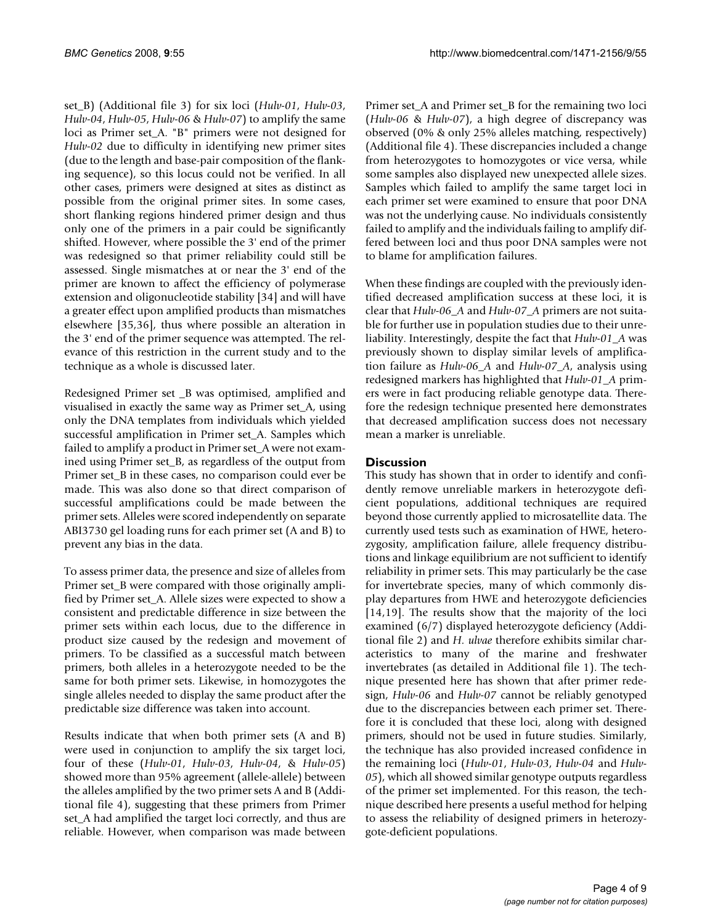set\_B) (Additional file 3) for six loci (*Hulv-01*, *Hulv-03*, *Hulv-04*, *Hulv-05*, *Hulv-06* & *Hulv-07*) to amplify the same loci as Primer set\_A. "B" primers were not designed for *Hulv-02* due to difficulty in identifying new primer sites (due to the length and base-pair composition of the flanking sequence), so this locus could not be verified. In all other cases, primers were designed at sites as distinct as possible from the original primer sites. In some cases, short flanking regions hindered primer design and thus only one of the primers in a pair could be significantly shifted. However, where possible the 3' end of the primer was redesigned so that primer reliability could still be assessed. Single mismatches at or near the 3' end of the primer are known to affect the efficiency of polymerase extension and oligonucleotide stability [34] and will have a greater effect upon amplified products than mismatches elsewhere [35,36], thus where possible an alteration in the 3' end of the primer sequence was attempted. The relevance of this restriction in the current study and to the technique as a whole is discussed later.

Redesigned Primer set \_B was optimised, amplified and visualised in exactly the same way as Primer set\_A, using only the DNA templates from individuals which yielded successful amplification in Primer set\_A. Samples which failed to amplify a product in Primer set\_A were not examined using Primer set\_B, as regardless of the output from Primer set\_B in these cases, no comparison could ever be made. This was also done so that direct comparison of successful amplifications could be made between the primer sets. Alleles were scored independently on separate ABI3730 gel loading runs for each primer set (A and B) to prevent any bias in the data.

To assess primer data, the presence and size of alleles from Primer set\_B were compared with those originally amplified by Primer set\_A. Allele sizes were expected to show a consistent and predictable difference in size between the primer sets within each locus, due to the difference in product size caused by the redesign and movement of primers. To be classified as a successful match between primers, both alleles in a heterozygote needed to be the same for both primer sets. Likewise, in homozygotes the single alleles needed to display the same product after the predictable size difference was taken into account.

Results indicate that when both primer sets (A and B) were used in conjunction to amplify the six target loci, four of these (*Hulv-01*, *Hulv-03*, *Hulv-04*, & *Hulv-05*) showed more than 95% agreement (allele-allele) between the alleles amplified by the two primer sets A and B (Additional file 4), suggesting that these primers from Primer set\_A had amplified the target loci correctly, and thus are reliable. However, when comparison was made between Primer set A and Primer set B for the remaining two loci (*Hulv-06* & *Hulv-07*), a high degree of discrepancy was observed (0% & only 25% alleles matching, respectively) (Additional file 4). These discrepancies included a change from heterozygotes to homozygotes or vice versa, while some samples also displayed new unexpected allele sizes. Samples which failed to amplify the same target loci in each primer set were examined to ensure that poor DNA was not the underlying cause. No individuals consistently failed to amplify and the individuals failing to amplify differed between loci and thus poor DNA samples were not to blame for amplification failures.

When these findings are coupled with the previously identified decreased amplification success at these loci, it is clear that *Hulv-06\_A* and *Hulv-07\_A* primers are not suitable for further use in population studies due to their unreliability. Interestingly, despite the fact that *Hulv-01\_A* was previously shown to display similar levels of amplification failure as *Hulv-06\_A* and *Hulv-07\_A*, analysis using redesigned markers has highlighted that *Hulv-01\_A* primers were in fact producing reliable genotype data. Therefore the redesign technique presented here demonstrates that decreased amplification success does not necessary mean a marker is unreliable.

### **Discussion**

This study has shown that in order to identify and confidently remove unreliable markers in heterozygote deficient populations, additional techniques are required beyond those currently applied to microsatellite data. The currently used tests such as examination of HWE, heterozygosity, amplification failure, allele frequency distributions and linkage equilibrium are not sufficient to identify reliability in primer sets. This may particularly be the case for invertebrate species, many of which commonly display departures from HWE and heterozygote deficiencies [[14](#page-7-0),19]. The results show that the majority of the loci examined (6/7) displayed heterozygote deficiency (Additional file 2) and *H. ulvae* therefore exhibits similar characteristics to many of the marine and freshwater invertebrates (as detailed in Additional file 1). The technique presented here has shown that after primer redesign, *Hulv-06* and *Hulv-07* cannot be reliably genotyped due to the discrepancies between each primer set. Therefore it is concluded that these loci, along with designed primers, should not be used in future studies. Similarly, the technique has also provided increased confidence in the remaining loci (*Hulv-01*, *Hulv-03*, *Hulv-04* and *Hulv-05*), which all showed similar genotype outputs regardless of the primer set implemented. For this reason, the technique described here presents a useful method for helping to assess the reliability of designed primers in heterozygote-deficient populations.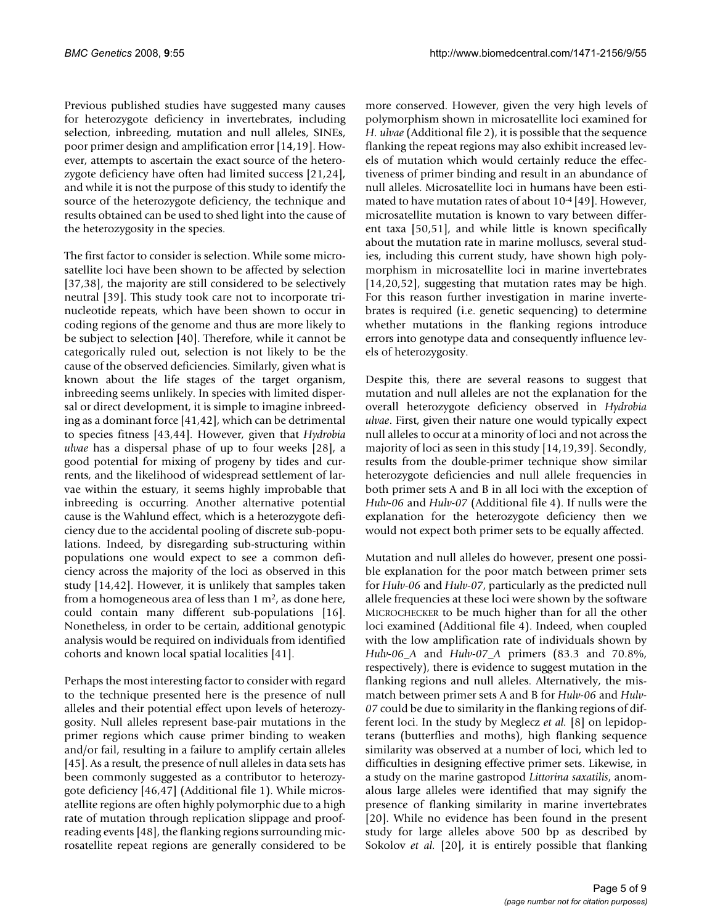Previous published studies have suggested many causes for heterozygote deficiency in invertebrates, including selection, inbreeding, mutation and null alleles, SINEs, poor primer design and amplification error [\[14](#page-7-0),19]. However, attempts to ascertain the exact source of the heterozygote deficiency have often had limited success [21,24], and while it is not the purpose of this study to identify the source of the heterozygote deficiency, the technique and results obtained can be used to shed light into the cause of the heterozygosity in the species.

The first factor to consider is selection. While some microsatellite loci have been shown to be affected by selection [37,38], the majority are still considered to be selectively neutral [39]. This study took care not to incorporate trinucleotide repeats, which have been shown to occur in coding regions of the genome and thus are more likely to be subject to selection [40]. Therefore, while it cannot be categorically ruled out, selection is not likely to be the cause of the observed deficiencies. Similarly, given what is known about the life stages of the target organism, inbreeding seems unlikely. In species with limited dispersal or direct development, it is simple to imagine inbreeding as a dominant force [41,42], which can be detrimental to species fitness [43,44]. However, given that *Hydrobia ulvae* has a dispersal phase of up to four weeks [28], a good potential for mixing of progeny by tides and currents, and the likelihood of widespread settlement of larvae within the estuary, it seems highly improbable that inbreeding is occurring. Another alternative potential cause is the Wahlund effect, which is a heterozygote deficiency due to the accidental pooling of discrete sub-populations. Indeed, by disregarding sub-structuring within populations one would expect to see a common deficiency across the majority of the loci as observed in this study [\[14](#page-7-0),42]. However, it is unlikely that samples taken from a homogeneous area of less than  $1 \text{ m}^2$ , as done here, could contain many different sub-populations [16]. Nonetheless, in order to be certain, additional genotypic analysis would be required on individuals from identified cohorts and known local spatial localities [41].

Perhaps the most interesting factor to consider with regard to the technique presented here is the presence of null alleles and their potential effect upon levels of heterozygosity. Null alleles represent base-pair mutations in the primer regions which cause primer binding to weaken and/or fail, resulting in a failure to amplify certain alleles [45]. As a result, the presence of null alleles in data sets has been commonly suggested as a contributor to heterozygote deficiency [46,47] (Additional file 1). While microsatellite regions are often highly polymorphic due to a high rate of mutation through replication slippage and proofreading events [48], the flanking regions surrounding microsatellite repeat regions are generally considered to be more conserved. However, given the very high levels of polymorphism shown in microsatellite loci examined for *H. ulvae* (Additional file 2), it is possible that the sequence flanking the repeat regions may also exhibit increased levels of mutation which would certainly reduce the effectiveness of primer binding and result in an abundance of null alleles. Microsatellite loci in humans have been estimated to have mutation rates of about 10-4 [49]. However, microsatellite mutation is known to vary between different taxa [50,51], and while little is known specifically about the mutation rate in marine molluscs, several studies, including this current study, have shown high polymorphism in microsatellite loci in marine invertebrates [[14](#page-7-0),20,52], suggesting that mutation rates may be high. For this reason further investigation in marine invertebrates is required (i.e. genetic sequencing) to determine whether mutations in the flanking regions introduce errors into genotype data and consequently influence levels of heterozygosity.

Despite this, there are several reasons to suggest that mutation and null alleles are not the explanation for the overall heterozygote deficiency observed in *Hydrobia ulvae*. First, given their nature one would typically expect null alleles to occur at a minority of loci and not across the majority of loci as seen in this study [[14,](#page-7-0)19,39]. Secondly, results from the double-primer technique show similar heterozygote deficiencies and null allele frequencies in both primer sets A and B in all loci with the exception of *Hulv-06* and *Hulv-07* (Additional file 4). If nulls were the explanation for the heterozygote deficiency then we would not expect both primer sets to be equally affected.

Mutation and null alleles do however, present one possible explanation for the poor match between primer sets for *Hulv-06* and *Hulv-07*, particularly as the predicted null allele frequencies at these loci were shown by the software MICROCHECKER to be much higher than for all the other loci examined (Additional file 4). Indeed, when coupled with the low amplification rate of individuals shown by *Hulv-06\_A* and *Hulv-07\_A* primers (83.3 and 70.8%, respectively), there is evidence to suggest mutation in the flanking regions and null alleles. Alternatively, the mismatch between primer sets A and B for *Hulv-06* and *Hulv-07* could be due to similarity in the flanking regions of different loci. In the study by Meglecz *et al.* [8] on lepidopterans (butterflies and moths), high flanking sequence similarity was observed at a number of loci, which led to difficulties in designing effective primer sets. Likewise, in a study on the marine gastropod *Littorina saxatilis*, anomalous large alleles were identified that may signify the presence of flanking similarity in marine invertebrates [20]. While no evidence has been found in the present study for large alleles above 500 bp as described by Sokolov *et al.* [20], it is entirely possible that flanking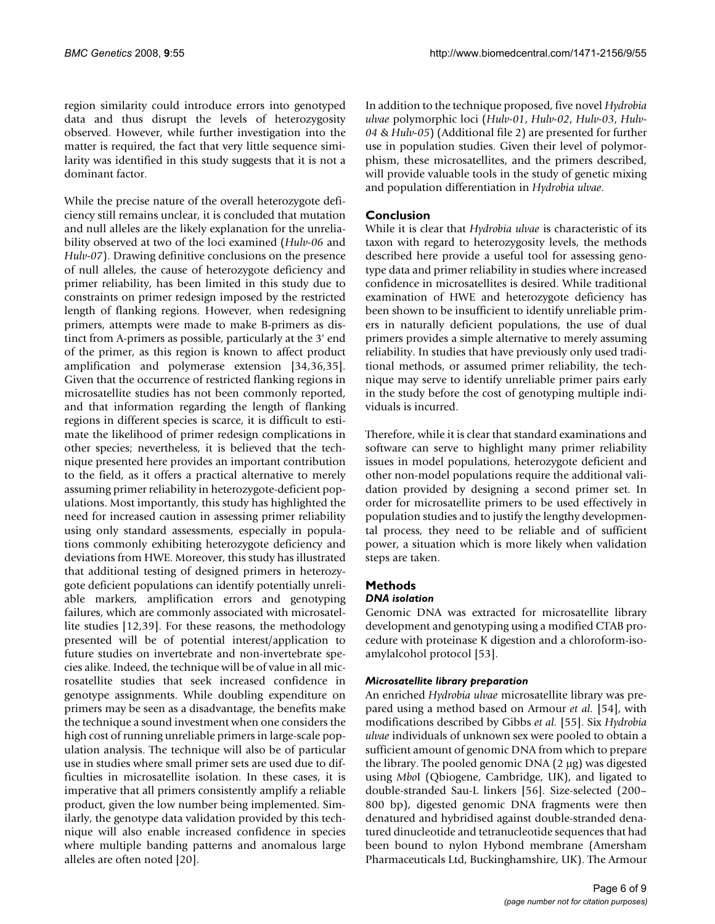region similarity could introduce errors into genotyped data and thus disrupt the levels of heterozygosity observed. However, while further investigation into the matter is required, the fact that very little sequence similarity was identified in this study suggests that it is not a dominant factor.

While the precise nature of the overall heterozygote deficiency still remains unclear, it is concluded that mutation and null alleles are the likely explanation for the unreliability observed at two of the loci examined (*Hulv-06* and *Hulv-07*). Drawing definitive conclusions on the presence of null alleles, the cause of heterozygote deficiency and primer reliability, has been limited in this study due to constraints on primer redesign imposed by the restricted length of flanking regions. However, when redesigning primers, attempts were made to make B-primers as distinct from A-primers as possible, particularly at the 3' end of the primer, as this region is known to affect product amplification and polymerase extension [34,36,35]. Given that the occurrence of restricted flanking regions in microsatellite studies has not been commonly reported, and that information regarding the length of flanking regions in different species is scarce, it is difficult to estimate the likelihood of primer redesign complications in other species; nevertheless, it is believed that the technique presented here provides an important contribution to the field, as it offers a practical alternative to merely assuming primer reliability in heterozygote-deficient populations. Most importantly, this study has highlighted the need for increased caution in assessing primer reliability using only standard assessments, especially in populations commonly exhibiting heterozygote deficiency and deviations from HWE. Moreover, this study has illustrated that additional testing of designed primers in heterozygote deficient populations can identify potentially unreliable markers, amplification errors and genotyping failures, which are commonly associated with microsatellite studies [12,39]. For these reasons, the methodology presented will be of potential interest/application to future studies on invertebrate and non-invertebrate species alike. Indeed, the technique will be of value in all microsatellite studies that seek increased confidence in genotype assignments. While doubling expenditure on primers may be seen as a disadvantage, the benefits make the technique a sound investment when one considers the high cost of running unreliable primers in large-scale population analysis. The technique will also be of particular use in studies where small primer sets are used due to difficulties in microsatellite isolation. In these cases, it is imperative that all primers consistently amplify a reliable product, given the low number being implemented. Similarly, the genotype data validation provided by this technique will also enable increased confidence in species where multiple banding patterns and anomalous large alleles are often noted [20].

In addition to the technique proposed, five novel *Hydrobia ulvae* polymorphic loci (*Hulv-01*, *Hulv-02*, *Hulv-03*, *Hulv-04* & *Hulv-05*) (Additional file 2) are presented for further use in population studies. Given their level of polymorphism, these microsatellites, and the primers described, will provide valuable tools in the study of genetic mixing and population differentiation in *Hydrobia ulvae*.

## **Conclusion**

While it is clear that *Hydrobia ulvae* is characteristic of its taxon with regard to heterozygosity levels, the methods described here provide a useful tool for assessing genotype data and primer reliability in studies where increased confidence in microsatellites is desired. While traditional examination of HWE and heterozygote deficiency has been shown to be insufficient to identify unreliable primers in naturally deficient populations, the use of dual primers provides a simple alternative to merely assuming reliability. In studies that have previously only used traditional methods, or assumed primer reliability, the technique may serve to identify unreliable primer pairs early in the study before the cost of genotyping multiple individuals is incurred.

Therefore, while it is clear that standard examinations and software can serve to highlight many primer reliability issues in model populations, heterozygote deficient and other non-model populations require the additional validation provided by designing a second primer set. In order for microsatellite primers to be used effectively in population studies and to justify the lengthy developmental process, they need to be reliable and of sufficient power, a situation which is more likely when validation steps are taken.

# **Methods**

### *DNA isolation*

Genomic DNA was extracted for microsatellite library development and genotyping using a modified CTAB procedure with proteinase K digestion and a chloroform-isoamylalcohol protocol [53].

#### *Microsatellite library preparation*

An enriched *Hydrobia ulvae* microsatellite library was prepared using a method based on Armour *et al.* [54], with modifications described by Gibbs *et al.* [55]. Six *Hydrobia ulvae* individuals of unknown sex were pooled to obtain a sufficient amount of genomic DNA from which to prepare the library. The pooled genomic DNA (2 μg) was digested using *Mbo*I (Qbiogene, Cambridge, UK), and ligated to double-stranded Sau-L linkers [56]. Size-selected (200– 800 bp), digested genomic DNA fragments were then denatured and hybridised against double-stranded denatured dinucleotide and tetranucleotide sequences that had been bound to nylon Hybond membrane (Amersham Pharmaceuticals Ltd, Buckinghamshire, UK). The Armour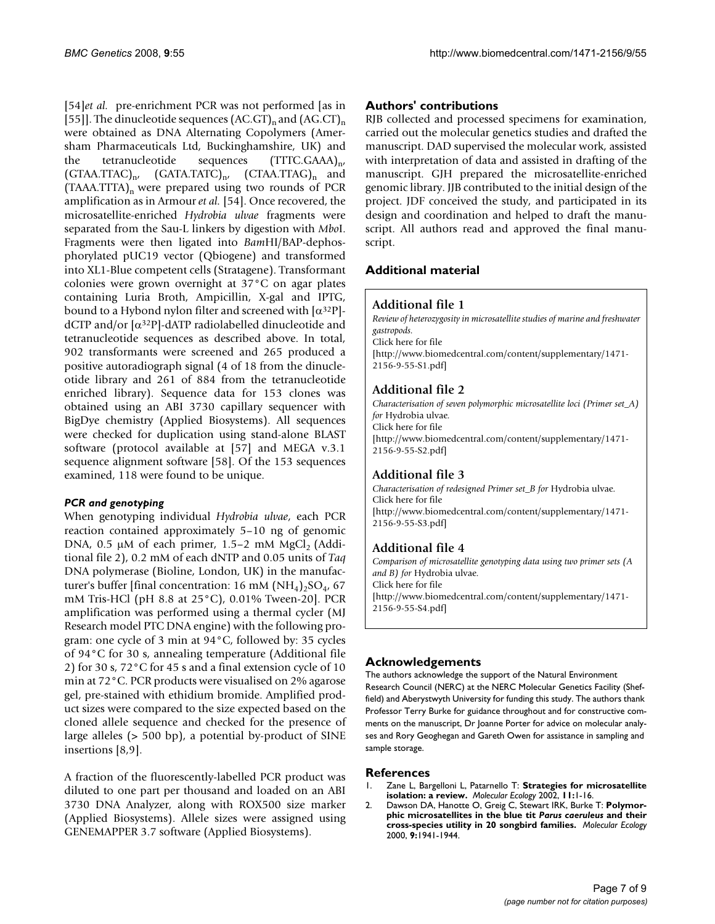[54]*et al.* pre-enrichment PCR was not performed [as in [55]]. The dinucleotide sequences  $(AC.GT)_n$  and  $(AG.CT)_n$ were obtained as DNA Alternating Copolymers (Amersham Pharmaceuticals Ltd, Buckinghamshire, UK) and the tetranucleotide sequences  $(TTTC.GAAA)_{n'}$  $(GTAA.TTAC)_{n'}$   $(GATA.TATC)_{n'}$   $(CTAA.TTAG)_{n}$  and  $(TAAA.TTTA)$ <sub>n</sub> were prepared using two rounds of PCR amplification as in Armour *et al.* [54]. Once recovered, the microsatellite-enriched *Hydrobia ulvae* fragments were separated from the Sau-L linkers by digestion with *Mbo*I. Fragments were then ligated into *Bam*HI/BAP-dephosphorylated pUC19 vector (Qbiogene) and transformed into XL1-Blue competent cells (Stratagene). Transformant colonies were grown overnight at 37°C on agar plates containing Luria Broth, Ampicillin, X-gal and IPTG, bound to a Hybond nylon filter and screened with  $\lceil \alpha^{32}P \rceil$ dCTP and/or [α32P]-dATP radiolabelled dinucleotide and tetranucleotide sequences as described above. In total, 902 transformants were screened and 265 produced a positive autoradiograph signal (4 of 18 from the dinucleotide library and 261 of 884 from the tetranucleotide enriched library). Sequence data for 153 clones was obtained using an ABI 3730 capillary sequencer with BigDye chemistry (Applied Biosystems). All sequences were checked for duplication using stand-alone BLAST software (protocol available at [57] and MEGA v.3.1 sequence alignment software [58]. Of the 153 sequences examined, 118 were found to be unique.

#### *PCR and genotyping*

When genotyping individual *Hydrobia ulvae*, each PCR reaction contained approximately 5–10 ng of genomic DNA,  $0.5 \mu M$  of each primer, 1.5–2 mM MgCl<sub>2</sub> (Additional file 2), 0.2 mM of each dNTP and 0.05 units of *Taq* DNA polymerase (Bioline, London, UK) in the manufacturer's buffer [final concentration: 16 mM  $(NH_4)_2SO_4$ , 67 mM Tris-HCl (pH 8.8 at 25°C), 0.01% Tween-20]. PCR amplification was performed using a thermal cycler (MJ Research model PTC DNA engine) with the following program: one cycle of 3 min at 94°C, followed by: 35 cycles of 94°C for 30 s, annealing temperature (Additional file 2) for 30 s, 72°C for 45 s and a final extension cycle of 10 min at 72°C. PCR products were visualised on 2% agarose gel, pre-stained with ethidium bromide. Amplified product sizes were compared to the size expected based on the cloned allele sequence and checked for the presence of large alleles (> 500 bp), a potential by-product of SINE insertions [8,9].

A fraction of the fluorescently-labelled PCR product was diluted to one part per thousand and loaded on an ABI 3730 DNA Analyzer, along with ROX500 size marker (Applied Biosystems). Allele sizes were assigned using GENEMAPPER 3.7 software (Applied Biosystems).

#### **Authors' contributions**

RJB collected and processed specimens for examination, carried out the molecular genetics studies and drafted the manuscript. DAD supervised the molecular work, assisted with interpretation of data and assisted in drafting of the manuscript. GJH prepared the microsatellite-enriched genomic library. JJB contributed to the initial design of the project. JDF conceived the study, and participated in its design and coordination and helped to draft the manuscript. All authors read and approved the final manuscript.

#### **Additional material**

#### **Additional file 1**

*Review of heterozygosity in microsatellite studies of marine and freshwater gastropods.* Click here for file [\[http://www.biomedcentral.com/content/supplementary/1471-](http://www.biomedcentral.com/content/supplementary/1471-2156-9-55-S1.pdf) 2156-9-55-S1.pdf]

#### **Additional file 2**

*Characterisation of seven polymorphic microsatellite loci (Primer set\_A) for* Hydrobia ulvae*.* Click here for file [\[http://www.biomedcentral.com/content/supplementary/1471-](http://www.biomedcentral.com/content/supplementary/1471-2156-9-55-S2.pdf) 2156-9-55-S2.pdf]

#### **Additional file 3**

*Characterisation of redesigned Primer set\_B for* Hydrobia ulvae*.* Click here for file [\[http://www.biomedcentral.com/content/supplementary/1471-](http://www.biomedcentral.com/content/supplementary/1471-2156-9-55-S3.pdf) 2156-9-55-S3.pdf]

## **Additional file 4**

*Comparison of microsatellite genotyping data using two primer sets (A and B) for* Hydrobia ulvae*.* Click here for file [\[http://www.biomedcentral.com/content/supplementary/1471-](http://www.biomedcentral.com/content/supplementary/1471-2156-9-55-S4.pdf) 2156-9-55-S4.pdf]

#### **Acknowledgements**

The authors acknowledge the support of the Natural Environment Research Council (NERC) at the NERC Molecular Genetics Facility (Sheffield) and Aberystwyth University for funding this study. The authors thank Professor Terry Burke for guidance throughout and for constructive comments on the manuscript, Dr Joanne Porter for advice on molecular analyses and Rory Geoghegan and Gareth Owen for assistance in sampling and sample storage.

#### **References**

- 1. Zane L, Bargelloni L, Patarnello T: **[Strategies for microsatellite](http://www.ncbi.nlm.nih.gov/entrez/query.fcgi?cmd=Retrieve&db=PubMed&dopt=Abstract&list_uids=11903900) [isolation: a review.](http://www.ncbi.nlm.nih.gov/entrez/query.fcgi?cmd=Retrieve&db=PubMed&dopt=Abstract&list_uids=11903900)** *Molecular Ecology* 2002, **11:**1-16.
- 2. Dawson DA, Hanotte O, Greig C, Stewart IRK, Burke T: **Polymorphic microsatellites in the blue tit** *Parus caeruleus* **[and their](http://www.ncbi.nlm.nih.gov/entrez/query.fcgi?cmd=Retrieve&db=PubMed&dopt=Abstract&list_uids=11091342) [cross-species utility in 20 songbird families.](http://www.ncbi.nlm.nih.gov/entrez/query.fcgi?cmd=Retrieve&db=PubMed&dopt=Abstract&list_uids=11091342)** *Molecular Ecology* 2000, **9:**1941-1944.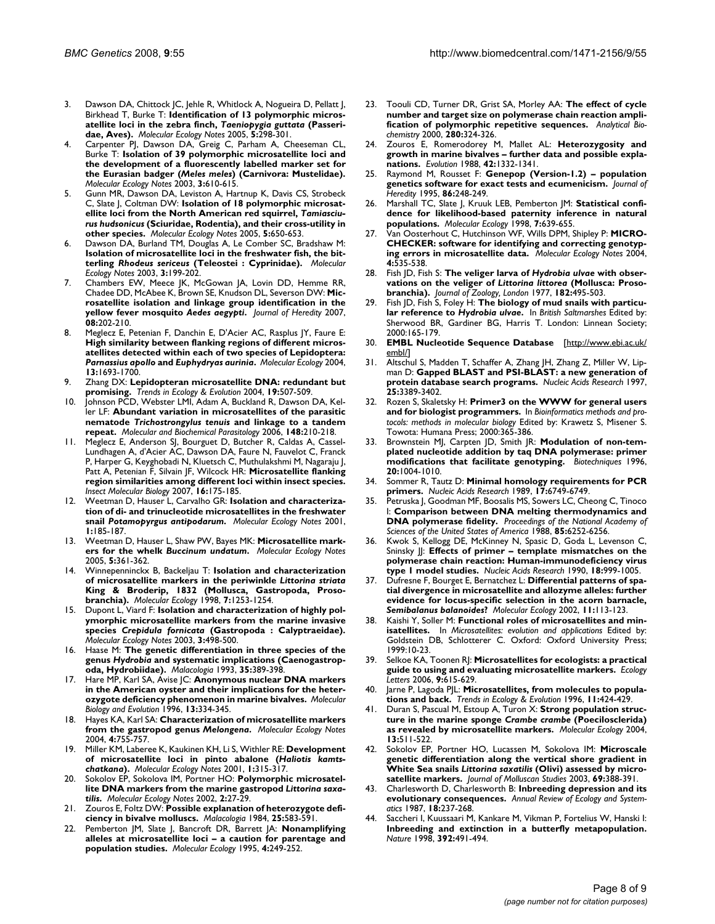- 3. Dawson DA, Chittock JC, Jehle R, Whitlock A, Nogueira D, Pellatt J, Birkhead T, Burke T: **Identification of 13 polymorphic microsatellite loci in the zebra finch,** *Taeniopygia guttata* **(Passeridae, Aves).** *Molecular Ecology Notes* 2005, **5:**298-301.
- 4. Carpenter PJ, Dawson DA, Greig C, Parham A, Cheeseman CL, Burke T: **Isolation of 39 polymorphic microsatellite loci and the development of a fluorescently labelled marker set for the Eurasian badger (***Meles meles***) (Carnivora: Mustelidae).** *Molecular Ecology Notes* 2003, **3:**610-615.
- 5. Gunn MR, Dawson DA, Leviston A, Hartnup K, Davis CS, Strobeck C, Slate J, Coltman DW: **Isolation of 18 polymorphic microsatellite loci from the North American red squirrel,** *Tamiasciurus hudsonicus* **(Sciuridae, Rodentia), and their cross-utility in other species.** *Molecular Ecology Notes* 2005, **5:**650-653.
- 6. Dawson DA, Burland TM, Douglas A, Le Comber SC, Bradshaw M: **Isolation of microsatellite loci in the freshwater fish, the bitterling** *Rhodeus sericeus* **(Teleostei : Cyprinidae).** *Molecular Ecology Notes* 2003, **3:**199-202.
- 7. Chambers EW, Meece JK, McGowan JA, Lovin DD, Hemme RR, Chadee DD, McAbee K, Brown SE, Knudson DL, Severson DW: **Microsatellite isolation and linkage group identification in the yellow fever mosquito** *Aedes aegypti***.** *Journal of Heredity* 2007, **08:**202-210.
- 8. Meglecz E, Petenian F, Danchin E, D'Acier AC, Rasplus JY, Faure E: **High similarity between flanking regions of different microsatellites detected within each of two species of Lepidoptera:** *Parnassius apollo* **and** *Euphydryas aurinia***[.](http://www.ncbi.nlm.nih.gov/entrez/query.fcgi?cmd=Retrieve&db=PubMed&dopt=Abstract&list_uids=15140111)** *Molecular Ecology* 2004, **13:**1693-1700.
- 9. Zhang DX: **Lepidopteran microsatellite DNA: redundant but promising.** *Trends in Ecology & Evolution* 2004, **19:**507-509.
- Johnson PCD, Webster LMI, Adam A, Buckland R, Dawson DA, Keller LF: **Abundant variation in microsatellites of the parasitic nematode** *Trichostrongylus tenuis* **and linkage to a tandem repeat.** *Molecular and Biochemical Parasitology* 2006, **148:**210-218.
- 11. Meglecz E, Anderson SJ, Bourguet D, Butcher R, Caldas A, Cassel-Lundhagen A, d'Acier AC, Dawson DA, Faure N, Fauvelot C, Franck P, Harper G, Keyghobadi N, Kluetsch C, Muthulakshmi M, Nagaraju J, Patt A, Petenian F, Silvain JF, Wilcock HR: **[Microsatellite flanking](http://www.ncbi.nlm.nih.gov/entrez/query.fcgi?cmd=Retrieve&db=PubMed&dopt=Abstract&list_uids=17298557) [region similarities among different loci within insect species.](http://www.ncbi.nlm.nih.gov/entrez/query.fcgi?cmd=Retrieve&db=PubMed&dopt=Abstract&list_uids=17298557)** *Insect Molecular Biology* 2007, **16:**175-185.
- Weetman D, Hauser L, Carvalho GR: **Isolation and characterization of di- and trinucleotide microsatellites in the freshwater snail** *Potamopyrgus antipodarum***.** *Molecular Ecology Notes* 2001, **1:**185-187.
- 13. Weetman D, Hauser L, Shaw PW, Bayes MK: **Microsatellite markers for the whelk** *Buccinum undatum***.** *Molecular Ecology Notes* 2005, **5:**361-362.
- <span id="page-7-0"></span>14. Winnepenninckx B, Backeljau T: **Isolation and characterization of microsatellite markers in the periwinkle** *Littorina striata* **[King & Broderip, 1832 \(Mollusca, Gastropoda, Proso](http://www.ncbi.nlm.nih.gov/entrez/query.fcgi?cmd=Retrieve&db=PubMed&dopt=Abstract&list_uids=9734082)[branchia\).](http://www.ncbi.nlm.nih.gov/entrez/query.fcgi?cmd=Retrieve&db=PubMed&dopt=Abstract&list_uids=9734082)** *Molecular Ecology* 1998, **7:**1253-1254.
- 15. Dupont L, Viard F: **Isolation and characterization of highly polymorphic microsatellite markers from the marine invasive species** *Crepidula fornicata* **(Gastropoda : Calyptraeidae).** *Molecular Ecology Notes* 2003, **3:**498-500.
- 16. Haase M: **The genetic differentiation in three species of the genus** *Hydrobia* **and systematic implications (Caenogastropoda, Hydrobiidae).** *Malacologia* 1993, **35:**389-398.
- 17. Hare MP, Karl SA, Avise JC: **Anonymous nuclear DNA markers in the American oyster and their implications for the heterozygote deficiency phenomenon in marine bivalves.** *Molecular Biology and Evolution* 1996, **13:**334-345.
- 18. Hayes KA, Karl SA: **Characterization of microsatellite markers from the gastropod genus** *Melongena***.** *Molecular Ecology Notes* 2004, **4:**755-757.
- 19. Miller KM, Laberee K, Kaukinen KH, Li S, Withler RE: **Development of microsatellite loci in pinto abalone (***Haliotis kamtschatkana***).** *Molecular Ecology Notes* 2001, **1:**315-317.
- 20. Sokolov EP, Sokolova IM, Portner HO: Polymorphic microsatel**lite DNA markers from the marine gastropod** *Littorina saxatilis***.** *Molecular Ecology Notes* 2002, **2:**27-29.
- 21. Zouros E, Foltz DW: **Possible explanation of heterozygote deficiency in bivalve molluscs.** *Malacologia* 1984, **25:**583-591.
- 22. Pemberton JM, Slate J, Bancroft DR, Barrett JA: **[Nonamplifying](http://www.ncbi.nlm.nih.gov/entrez/query.fcgi?cmd=Retrieve&db=PubMed&dopt=Abstract&list_uids=7735527) [alleles at microsatellite loci – a caution for parentage and](http://www.ncbi.nlm.nih.gov/entrez/query.fcgi?cmd=Retrieve&db=PubMed&dopt=Abstract&list_uids=7735527) [population studies.](http://www.ncbi.nlm.nih.gov/entrez/query.fcgi?cmd=Retrieve&db=PubMed&dopt=Abstract&list_uids=7735527)** *Molecular Ecology* 1995, **4:**249-252.
- 23. Toouli CD, Turner DR, Grist SA, Morley AA: **[The effect of cycle](http://www.ncbi.nlm.nih.gov/entrez/query.fcgi?cmd=Retrieve&db=PubMed&dopt=Abstract&list_uids=10790319) [number and target size on polymerase chain reaction ampli](http://www.ncbi.nlm.nih.gov/entrez/query.fcgi?cmd=Retrieve&db=PubMed&dopt=Abstract&list_uids=10790319)[fication of polymorphic repetitive sequences.](http://www.ncbi.nlm.nih.gov/entrez/query.fcgi?cmd=Retrieve&db=PubMed&dopt=Abstract&list_uids=10790319)** *Analytical Biochemistry* 2000, **280:**324-326.
- 24. Zouros E, Romerodorey M, Mallet AL: **Heterozygosity and growth in marine bivalves – further data and possible explanations.** *Evolution* 1988, **42:**1332-1341.
- 25. Raymond M, Rousset F: **Genepop (Version-1.2) population genetics software for exact tests and ecumenicism.** *Journal of Heredity* 1995, **86:**248-249.
- 26. Marshall TC, Slate J, Kruuk LEB, Pemberton JM: **[Statistical confi](http://www.ncbi.nlm.nih.gov/entrez/query.fcgi?cmd=Retrieve&db=PubMed&dopt=Abstract&list_uids=9633105)[dence for likelihood-based paternity inference in natural](http://www.ncbi.nlm.nih.gov/entrez/query.fcgi?cmd=Retrieve&db=PubMed&dopt=Abstract&list_uids=9633105) [populations.](http://www.ncbi.nlm.nih.gov/entrez/query.fcgi?cmd=Retrieve&db=PubMed&dopt=Abstract&list_uids=9633105)** *Molecular Ecology* 1998, **7:**639-655.
- 27. Van Oosterhout C, Hutchinson WF, Wills DPM, Shipley P: **MICRO-CHECKER: software for identifying and correcting genotyping errors in microsatellite data.** *Molecular Ecology Notes* 2004, **4:**535-538.
- 28. Fish JD, Fish S: **The veliger larva of** *Hydrobia ulvae* **with observations on the veliger of** *Littorina littorea* **(Mollusca: Prosobranchia).** *Journal of Zoology, London* 1977, **182:**495-503.
- 29. Fish JD, Fish S, Foley H: **The biology of mud snails with particular reference to** *Hydrobia ulvae***.** In *British Saltmarshes* Edited by: Sherwood BR, Gardiner BG, Harris T. London: Linnean Society; 2000:165-179.
- 30. **EMBL Nucleotide Sequence Database** [\[http://www.ebi.ac.uk/](http://www.ebi.ac.uk/embl/) [embl/](http://www.ebi.ac.uk/embl/)]
- 31. Altschul S, Madden T, Schaffer A, Zhang JH, Zhang Z, Miller W, Lipman D: **[Gapped BLAST and PSI-BLAST: a new generation of](http://www.ncbi.nlm.nih.gov/entrez/query.fcgi?cmd=Retrieve&db=PubMed&dopt=Abstract&list_uids=9254694) [protein database search programs.](http://www.ncbi.nlm.nih.gov/entrez/query.fcgi?cmd=Retrieve&db=PubMed&dopt=Abstract&list_uids=9254694)** *Nucleic Acids Research* 1997, **25:**3389-3402.
- 32. Rozen S, Skaletsky H: **Primer3 on the WWW for general users and for biologist programmers.** In *Bioinformatics methods and protocols: methods in molecular biology* Edited by: Krawetz S, Misener S. Towota: Humana Press; 2000:365-386.
- Brownstein MJ, Carpten JD, Smith JR: **[Modulation of non-tem](http://www.ncbi.nlm.nih.gov/entrez/query.fcgi?cmd=Retrieve&db=PubMed&dopt=Abstract&list_uids=8780871)[plated nucleotide addition by taq DNA polymerase: primer](http://www.ncbi.nlm.nih.gov/entrez/query.fcgi?cmd=Retrieve&db=PubMed&dopt=Abstract&list_uids=8780871) [modifications that facilitate genotyping.](http://www.ncbi.nlm.nih.gov/entrez/query.fcgi?cmd=Retrieve&db=PubMed&dopt=Abstract&list_uids=8780871)** *Biotechniques* 1996, **20:**1004-1010.
- Sommer R, Tautz D: [Minimal homology requirements for PCR](http://www.ncbi.nlm.nih.gov/entrez/query.fcgi?cmd=Retrieve&db=PubMed&dopt=Abstract&list_uids=2506529) **[primers.](http://www.ncbi.nlm.nih.gov/entrez/query.fcgi?cmd=Retrieve&db=PubMed&dopt=Abstract&list_uids=2506529)** *Nucleic Acids Research* 1989, **17:**6749-6749.
- Petruska J, Goodman MF, Boosalis MS, Sowers LC, Cheong C, Tinoco I: **[Comparison between DNA melting thermodynamics and](http://www.ncbi.nlm.nih.gov/entrez/query.fcgi?cmd=Retrieve&db=PubMed&dopt=Abstract&list_uids=3413095) [DNA polymerase fidelity.](http://www.ncbi.nlm.nih.gov/entrez/query.fcgi?cmd=Retrieve&db=PubMed&dopt=Abstract&list_uids=3413095)** *Proceedings of the National Academy of Sciences of the United States of America* 1988, **85:**6252-6256.
- 36. Kwok S, Kellogg DE, McKinney N, Spasic D, Goda L, Levenson C, Sninsky JJ: **[Effects of primer – template mismatches on the](http://www.ncbi.nlm.nih.gov/entrez/query.fcgi?cmd=Retrieve&db=PubMed&dopt=Abstract&list_uids=2179874) [polymerase chain reaction: Human-immunodeficiency virus](http://www.ncbi.nlm.nih.gov/entrez/query.fcgi?cmd=Retrieve&db=PubMed&dopt=Abstract&list_uids=2179874) [type 1 model studies.](http://www.ncbi.nlm.nih.gov/entrez/query.fcgi?cmd=Retrieve&db=PubMed&dopt=Abstract&list_uids=2179874)** *Nucleic Acids Research* 1990, **18:**999-1005.
- 37. Dufresne F, Bourget E, Bernatchez L: **Differential patterns of spatial divergence in microsatellite and allozyme alleles: further evidence for locus-specific selection in the acorn barnacle,** *Semibalanus balanoides***[?](http://www.ncbi.nlm.nih.gov/entrez/query.fcgi?cmd=Retrieve&db=PubMed&dopt=Abstract&list_uids=11903909)** *Molecular Ecology* 2002, **11:**113-123.
- Kaishi Y, Soller M: **Functional roles of microsatellites and minisatellites.** In *Microsatellites: evolution and applications* Edited by: Goldstein DB, Schlotterer C. Oxford: Oxford University Press; 1999:10-23.
- 39. Selkoe KA, Toonen RJ: **[Microsatellites for ecologists: a practical](http://www.ncbi.nlm.nih.gov/entrez/query.fcgi?cmd=Retrieve&db=PubMed&dopt=Abstract&list_uids=16643306) [guide to using and evaluating microsatellite markers.](http://www.ncbi.nlm.nih.gov/entrez/query.fcgi?cmd=Retrieve&db=PubMed&dopt=Abstract&list_uids=16643306)** *Ecology Letters* 2006, **9:**615-629.
- 40. Jarne P, Lagoda PJL: **Microsatellites, from molecules to populations and back.** *Trends in Ecology & Evolution* 1996, **11:**424-429.
- 41. Duran S, Pascual M, Estoup A, Turon X: **Strong population structure in the marine sponge** *Crambe crambe* **[\(Poecilosclerida\)](http://www.ncbi.nlm.nih.gov/entrez/query.fcgi?cmd=Retrieve&db=PubMed&dopt=Abstract&list_uids=14871357) [as revealed by microsatellite markers.](http://www.ncbi.nlm.nih.gov/entrez/query.fcgi?cmd=Retrieve&db=PubMed&dopt=Abstract&list_uids=14871357)** *Molecular Ecology* 2004, **13:**511-522.
- 42. Sokolov EP, Portner HO, Lucassen M, Sokolova IM: **Microscale genetic differentiation along the vertical shore gradient in White Sea snails** *Littorina saxatilis* **(Olivi) assessed by microsatellite markers.** *Journal of Molluscan Studies* 2003, **69:**388-391.
- 43. Charlesworth D, Charlesworth B: **Inbreeding depression and its evolutionary consequences.** *Annual Review of Ecology and Systematics* 1987, **18:**237-268.
- Saccheri I, Kuussaari M, Kankare M, Vikman P, Fortelius W, Hanski I: **Inbreeding and extinction in a butterfly metapopulation.** *Nature* 1998, **392:**491-494.